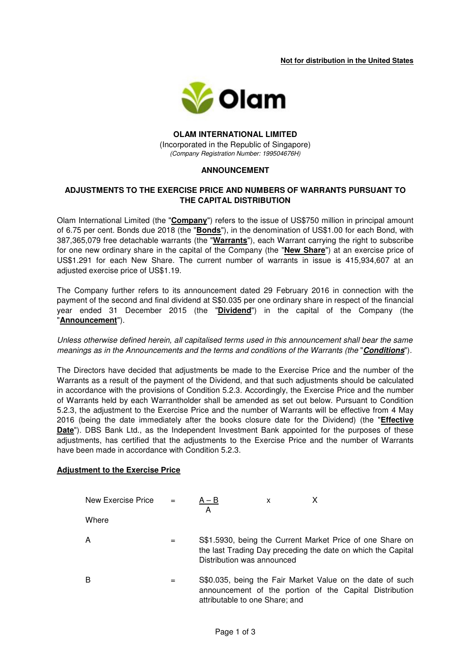**Not for distribution in the United States** 



#### **OLAM INTERNATIONAL LIMITED**  (Incorporated in the Republic of Singapore) (Company Registration Number: 199504676H)

# **ANNOUNCEMENT**

# **ADJUSTMENTS TO THE EXERCISE PRICE AND NUMBERS OF WARRANTS PURSUANT TO THE CAPITAL DISTRIBUTION**

Olam International Limited (the "**Company**") refers to the issue of US\$750 million in principal amount of 6.75 per cent. Bonds due 2018 (the "**Bonds**"), in the denomination of US\$1.00 for each Bond, with 387,365,079 free detachable warrants (the "**Warrants**"), each Warrant carrying the right to subscribe for one new ordinary share in the capital of the Company (the "**New Share**") at an exercise price of US\$1.291 for each New Share. The current number of warrants in issue is 415,934,607 at an adjusted exercise price of US\$1.19.

The Company further refers to its announcement dated 29 February 2016 in connection with the payment of the second and final dividend at S\$0.035 per one ordinary share in respect of the financial year ended 31 December 2015 (the "**Dividend**") in the capital of the Company (the "**Announcement**").

Unless otherwise defined herein, all capitalised terms used in this announcement shall bear the same meanings as in the Announcements and the terms and conditions of the Warrants (the "**Conditions**").

The Directors have decided that adjustments be made to the Exercise Price and the number of the Warrants as a result of the payment of the Dividend, and that such adjustments should be calculated in accordance with the provisions of Condition 5.2.3. Accordingly, the Exercise Price and the number of Warrants held by each Warrantholder shall be amended as set out below. Pursuant to Condition 5.2.3, the adjustment to the Exercise Price and the number of Warrants will be effective from 4 May 2016 (being the date immediately after the books closure date for the Dividend) (the "**Effective Date**"). DBS Bank Ltd., as the Independent Investment Bank appointed for the purposes of these adjustments, has certified that the adjustments to the Exercise Price and the number of Warrants have been made in accordance with Condition 5.2.3.

#### **Adjustment to the Exercise Price**

| New Exercise Price $=$ |     | $A - B$<br>А                   | x |                                                                                                                           |
|------------------------|-----|--------------------------------|---|---------------------------------------------------------------------------------------------------------------------------|
| Where                  |     |                                |   |                                                                                                                           |
| А                      | $=$ | Distribution was announced     |   | S\$1.5930, being the Current Market Price of one Share on<br>the last Trading Day preceding the date on which the Capital |
| в                      | $=$ | attributable to one Share; and |   | S\$0.035, being the Fair Market Value on the date of such<br>announcement of the portion of the Capital Distribution      |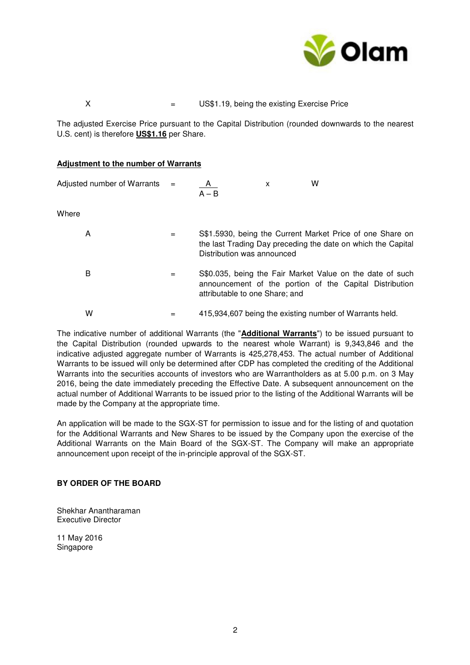

# X  $=$  US\$1.19, being the existing Exercise Price

The adjusted Exercise Price pursuant to the Capital Distribution (rounded downwards to the nearest U.S. cent) is therefore **US\$1.16** per Share.

#### **Adjustment to the number of Warrants**

| Adjusted number of Warrants $=$ |     | A<br>$A - B$                   | x | w                                                                                                                         |
|---------------------------------|-----|--------------------------------|---|---------------------------------------------------------------------------------------------------------------------------|
| Where                           |     |                                |   |                                                                                                                           |
| A                               | $=$ | Distribution was announced     |   | S\$1.5930, being the Current Market Price of one Share on<br>the last Trading Day preceding the date on which the Capital |
| в                               | =   | attributable to one Share; and |   | S\$0.035, being the Fair Market Value on the date of such<br>announcement of the portion of the Capital Distribution      |
| W                               |     |                                |   | 415,934,607 being the existing number of Warrants held.                                                                   |

The indicative number of additional Warrants (the "**Additional Warrants**") to be issued pursuant to the Capital Distribution (rounded upwards to the nearest whole Warrant) is 9,343,846 and the indicative adjusted aggregate number of Warrants is 425,278,453. The actual number of Additional Warrants to be issued will only be determined after CDP has completed the crediting of the Additional Warrants into the securities accounts of investors who are Warrantholders as at 5.00 p.m. on 3 May 2016, being the date immediately preceding the Effective Date. A subsequent announcement on the actual number of Additional Warrants to be issued prior to the listing of the Additional Warrants will be made by the Company at the appropriate time.

An application will be made to the SGX-ST for permission to issue and for the listing of and quotation for the Additional Warrants and New Shares to be issued by the Company upon the exercise of the Additional Warrants on the Main Board of the SGX-ST. The Company will make an appropriate announcement upon receipt of the in-principle approval of the SGX-ST.

# **BY ORDER OF THE BOARD**

Shekhar Anantharaman Executive Director

11 May 2016 Singapore